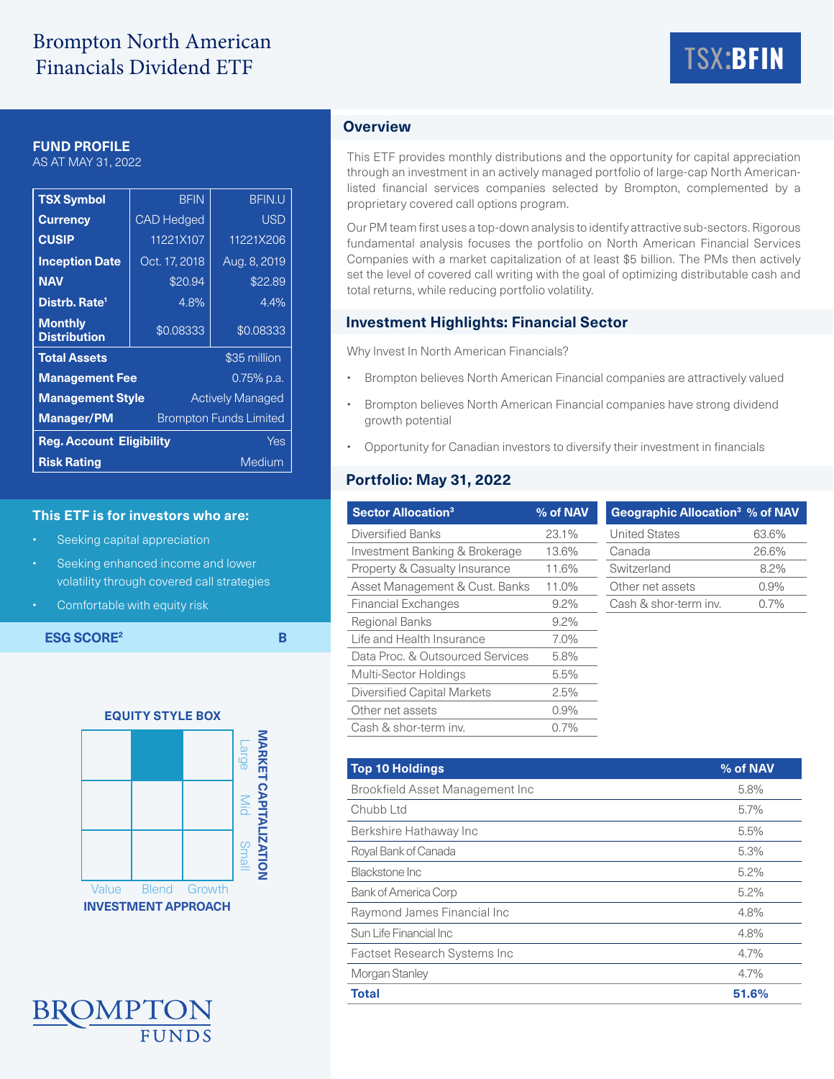# Brompton North American Financials Dividend ETF



## **FUND PROFILE**

AS AT MAY 31, 2022

| <b>TSX Symbol</b>                                  | <b>BFIN</b>                   | <b>BFIN.U</b> |  |  |  |
|----------------------------------------------------|-------------------------------|---------------|--|--|--|
| <b>Currency</b>                                    | <b>CAD Hedged</b>             | <b>USD</b>    |  |  |  |
| <b>CUSIP</b>                                       | 11221X107                     | 11221X206     |  |  |  |
| <b>Inception Date</b>                              | Oct. 17, 2018                 | Aug. 8, 2019  |  |  |  |
| <b>NAV</b>                                         | \$20.94                       | \$22.89       |  |  |  |
| Distrb, Rate <sup>1</sup>                          | 4.8%                          | 4.4%          |  |  |  |
| <b>Monthly</b><br><b>Distribution</b>              | \$0.08333                     | \$0.08333     |  |  |  |
| <b>Total Assets</b>                                |                               | \$35 million  |  |  |  |
| <b>Management Fee</b>                              |                               | 0.75% p.a.    |  |  |  |
| <b>Management Style</b><br><b>Actively Managed</b> |                               |               |  |  |  |
| <b>Manager/PM</b>                                  | <b>Brompton Funds Limited</b> |               |  |  |  |
| <b>Reg. Account Eligibility</b><br>Yes             |                               |               |  |  |  |
| <b>Risk Rating</b><br>Medium                       |                               |               |  |  |  |

#### **This ETF is for investors who are:**

- Seeking capital appreciation
- Seeking enhanced income and lower volatility through covered call strategies
- Comfortable with equity risk

**ESG SCORE<sup>2</sup> B** 





# **Overview**

This ETF provides monthly distributions and the opportunity for capital appreciation through an investment in an actively managed portfolio of large-cap North Americanlisted financial services companies selected by Brompton, complemented by a proprietary covered call options program.

Our PM team first uses a top-down analysis to identify attractive sub-sectors. Rigorous fundamental analysis focuses the portfolio on North American Financial Services Companies with a market capitalization of at least \$5 billion. The PMs then actively set the level of covered call writing with the goal of optimizing distributable cash and total returns, while reducing portfolio volatility.

### **Investment Highlights: Financial Sector**

Why Invest In North American Financials?

- Brompton believes North American Financial companies are attractively valued
- Brompton believes North American Financial companies have strong dividend growth potential
- Opportunity for Canadian investors to diversify their investment in financials

# **Portfolio: May 31, 2022**

| <b>Sector Allocation<sup>3</sup></b> | % of NAV | <b>Geographic Allocation<sup>3</sup> % of NAV</b> |       |
|--------------------------------------|----------|---------------------------------------------------|-------|
| Diversified Banks                    | 23.1%    | <b>United States</b>                              | 63.6% |
| Investment Banking & Brokerage       | 13.6%    | Canada                                            | 26.6% |
| Property & Casualty Insurance        | 11.6%    | Switzerland                                       | 8.2%  |
| Asset Management & Cust. Banks       | 11.0%    | Other net assets                                  | 0.9%  |
| <b>Financial Exchanges</b>           | $9.2\%$  | Cash & shor-term inv.                             | 0.7%  |
| <b>Regional Banks</b>                | $9.2\%$  |                                                   |       |
| Life and Health Insurance            | $7.0\%$  |                                                   |       |
| Data Proc. & Outsourced Services     | 5.8%     |                                                   |       |
| Multi-Sector Holdings                | 5.5%     |                                                   |       |
| Diversified Capital Markets          | 2.5%     |                                                   |       |
| Other net assets                     | 0.9%     |                                                   |       |
| Cash & shor-term inv.                | 0.7%     |                                                   |       |

| <b>Top 10 Holdings</b>               | % of NAV |
|--------------------------------------|----------|
| Brookfield Asset Management Inc      | 5.8%     |
| Chubb Ltd                            | $5.7\%$  |
| Berkshire Hathaway Inc               | 5.5%     |
| Royal Bank of Canada                 | 5.3%     |
| Blackstone Inc                       | 5.2%     |
| <b>Bank of America Corp</b>          | 5.2%     |
| Raymond James Financial Inc          | 4.8%     |
| Sun Life Financial Inc               | 4.8%     |
| <b>Factset Research Systems Inc.</b> | $4.7\%$  |
| Morgan Stanley                       | 4.7%     |
| <b>Total</b>                         | 51.6%    |